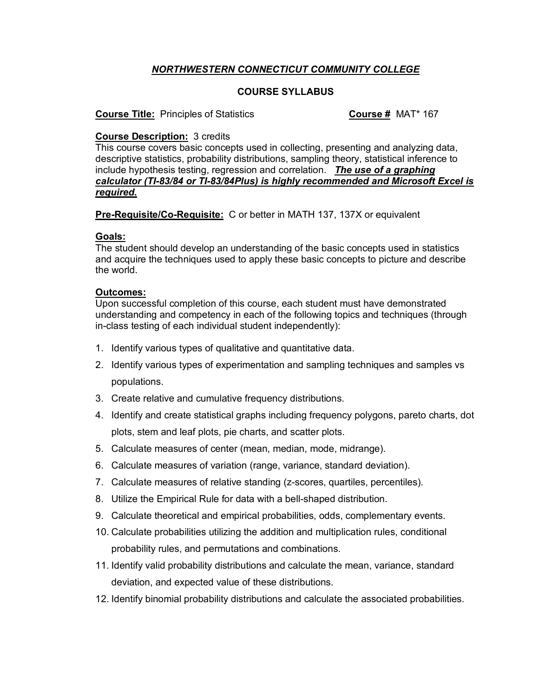# *NORTHWESTERN CONNECTICUT COMMUNITY COLLEGE*

# **COURSE SYLLABUS**

**Course Title:** Principles of Statistics **Course #** MAT\* 167

## **Course Description:** 3 credits

This course covers basic concepts used in collecting, presenting and analyzing data, descriptive statistics, probability distributions, sampling theory, statistical inference to include hypothesis testing, regression and correlation. *The use of a graphing calculator (TI-83/84 or TI-83/84Plus) is highly recommended and Microsoft Excel is required.* 

**Pre-Requisite/Co-Requisite:** C or better in MATH 137, 137X or equivalent

### **Goals:**

The student should develop an understanding of the basic concepts used in statistics and acquire the techniques used to apply these basic concepts to picture and describe the world.

### **Outcomes:**

Upon successful completion of this course, each student must have demonstrated understanding and competency in each of the following topics and techniques (through in-class testing of each individual student independently):

- 1. Identify various types of qualitative and quantitative data.
- 2. Identify various types of experimentation and sampling techniques and samples vs populations.
- 3. Create relative and cumulative frequency distributions.
- 4. Identify and create statistical graphs including frequency polygons, pareto charts, dot plots, stem and leaf plots, pie charts, and scatter plots.
- 5. Calculate measures of center (mean, median, mode, midrange).
- 6. Calculate measures of variation (range, variance, standard deviation).
- 7. Calculate measures of relative standing (z-scores, quartiles, percentiles).
- 8. Utilize the Empirical Rule for data with a bell-shaped distribution.
- 9. Calculate theoretical and empirical probabilities, odds, complementary events.
- 10. Calculate probabilities utilizing the addition and multiplication rules, conditional probability rules, and permutations and combinations.
- 11. Identify valid probability distributions and calculate the mean, variance, standard deviation, and expected value of these distributions.
- 12. Identify binomial probability distributions and calculate the associated probabilities.